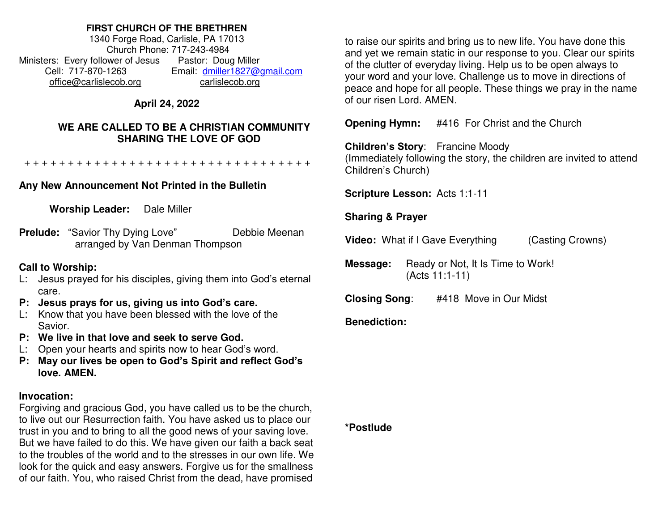### **FIRST CHURCH OF THE BRETHREN**

1340 Forge Road, Carlisle, PA 17013 Church Phone: 717-243-4984 Ministers: Every follower of Jesus Pastor: Doug Miller Cell: 717-870-1263 Email: [dmiller1827@gmail.com](mailto:dmiller1827@gmail.com) [office@carlislecob.org](mailto:office@carlislecob.org) carlislecob.org

## **April 24, 2022**

### **WE ARE CALLED TO BE A CHRISTIAN COMMUNITY SHARING THE LOVE OF GOD**

+ + + + + + + + + + + + + + + + + + + + + + + + + + + + + + + + +

# **Any New Announcement Not Printed in the Bulletin**

**Worship Leader:** Dale Miller

**Prelude:** "Savior Thy Dying Love" Debbie Meenan arranged by Van Denman Thompson

## **Call to Worship:**

- L: Jesus prayed for his disciples, giving them into God's eternal care.
- **P: Jesus prays for us, giving us into God's care.**
- L: Know that you have been blessed with the love of the Savior.
- **P: We live in that love and seek to serve God.**
- L: Open your hearts and spirits now to hear God's word.
- **P: May our lives be open to God's Spirit and reflect God's love. AMEN.**

# **Invocation:**

Forgiving and gracious God, you have called us to be the church, to live out our Resurrection faith. You have asked us to place our trust in you and to bring to all the good news of your saving love. But we have failed to do this. We have given our faith a back seat to the troubles of the world and to the stresses in our own life. We look for the quick and easy answers. Forgive us for the smallness of our faith. You, who raised Christ from the dead, have promised

to raise our spirits and bring us to new life. You have done this and yet we remain static in our response to you. Clear our spirits of the clutter of everyday living. Help us to be open always to your word and your love. Challenge us to move in directions of peace and hope for all people. These things we pray in the name of our risen Lord. AMEN.

**Opening Hymn:** #416 For Christ and the Church

# **Children's Story**: Francine Moody

(Immediately following the story, the children are invited to attend Children's Church)

**Scripture Lesson:** Acts 1:1-11

# **Sharing & Prayer**

**Video:** What if I Gave Everything (Casting Crowns)

**Message:** Ready or Not, It Is Time to Work! (Acts 11:1-11)

**Closing Song**: #418 Move in Our Midst

# **Benediction:**

### **\*Postlude**